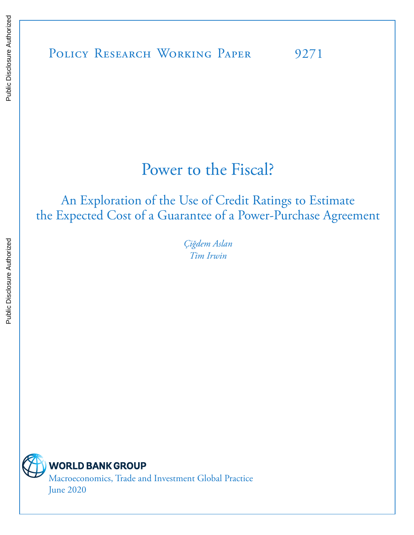POLICY RESEARCH WORKING PAPER 9271

# Power to the Fiscal?

# An Exploration of the Use of Credit Ratings to Estimate the Expected Cost of a Guarantee of a Power-Purchase Agreement

*Çiğdem Aslan Tim Irwin* 



**WORLD BANK GROUP** 

Macroeconomics, Trade and Investment Global Practice June 2020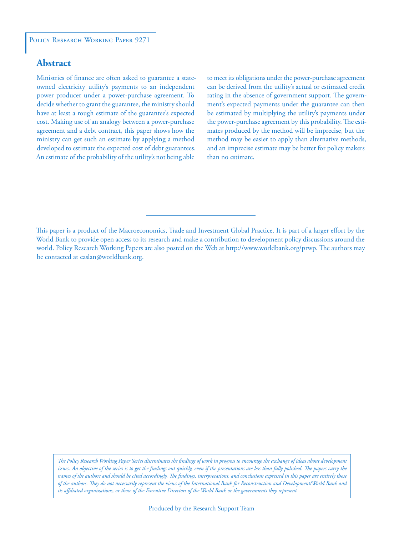# **Abstract**

Ministries of finance are often asked to guarantee a stateowned electricity utility's payments to an independent power producer under a power-purchase agreement. To decide whether to grant the guarantee, the ministry should have at least a rough estimate of the guarantee's expected cost. Making use of an analogy between a power-purchase agreement and a debt contract, this paper shows how the ministry can get such an estimate by applying a method developed to estimate the expected cost of debt guarantees. An estimate of the probability of the utility's not being able

to meet its obligations under the power-purchase agreement can be derived from the utility's actual or estimated credit rating in the absence of government support. The government's expected payments under the guarantee can then be estimated by multiplying the utility's payments under the power-purchase agreement by this probability. The estimates produced by the method will be imprecise, but the method may be easier to apply than alternative methods, and an imprecise estimate may be better for policy makers than no estimate.

This paper is a product of the Macroeconomics, Trade and Investment Global Practice. It is part of a larger effort by the World Bank to provide open access to its research and make a contribution to development policy discussions around the world. Policy Research Working Papers are also posted on the Web at http://www.worldbank.org/prwp. The authors may be contacted at caslan@worldbank.org.

*The Policy Research Working Paper Series disseminates the findings of work in progress to encourage the exchange of ideas about development*  issues. An objective of the series is to get the findings out quickly, even if the presentations are less than fully polished. The papers carry the *names of the authors and should be cited accordingly. The findings, interpretations, and conclusions expressed in this paper are entirely those of the authors. They do not necessarily represent the views of the International Bank for Reconstruction and Development/World Bank and its affiliated organizations, or those of the Executive Directors of the World Bank or the governments they represent.*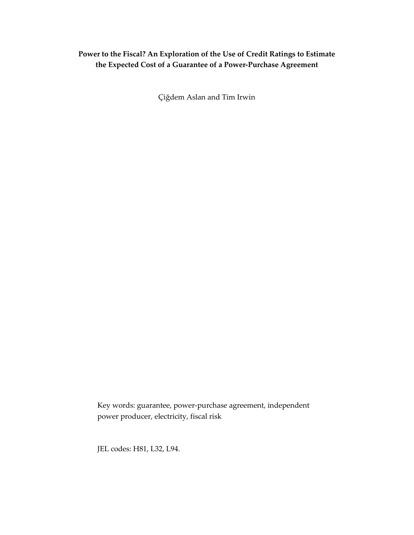# **Power to the Fiscal? An Exploration of the Use of Credit Ratings to Estimate the Expected Cost of a Guarantee of a Power-Purchase Agreement**

Çiğdem Aslan and Tim Irwin

Key words: guarantee, power-purchase agreement, independent power producer, electricity, fiscal risk

JEL codes: H81, L32, L94.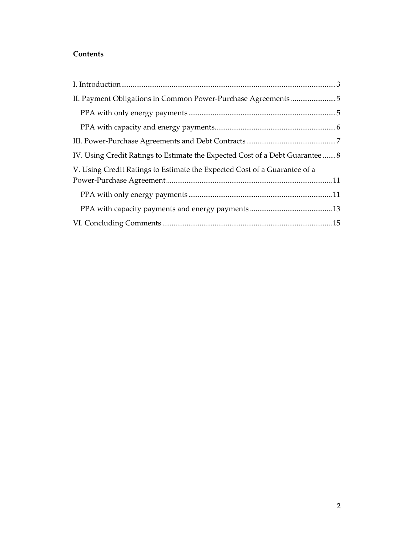# **Contents**

| IV. Using Credit Ratings to Estimate the Expected Cost of a Debt Guarantee  8 |  |
|-------------------------------------------------------------------------------|--|
| V. Using Credit Ratings to Estimate the Expected Cost of a Guarantee of a     |  |
|                                                                               |  |
|                                                                               |  |
|                                                                               |  |
|                                                                               |  |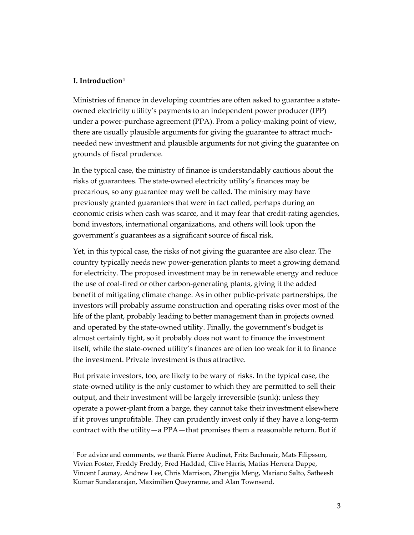#### <span id="page-4-0"></span>**I. Introduction[1](#page-4-1)**

Ministries of finance in developing countries are often asked to guarantee a stateowned electricity utility's payments to an independent power producer (IPP) under a power-purchase agreement (PPA). From a policy-making point of view, there are usually plausible arguments for giving the guarantee to attract muchneeded new investment and plausible arguments for not giving the guarantee on grounds of fiscal prudence.

In the typical case, the ministry of finance is understandably cautious about the risks of guarantees. The state-owned electricity utility's finances may be precarious, so any guarantee may well be called. The ministry may have previously granted guarantees that were in fact called, perhaps during an economic crisis when cash was scarce, and it may fear that credit-rating agencies, bond investors, international organizations, and others will look upon the government's guarantees as a significant source of fiscal risk.

Yet, in this typical case, the risks of not giving the guarantee are also clear. The country typically needs new power-generation plants to meet a growing demand for electricity. The proposed investment may be in renewable energy and reduce the use of coal-fired or other carbon-generating plants, giving it the added benefit of mitigating climate change. As in other public-private partnerships, the investors will probably assume construction and operating risks over most of the life of the plant, probably leading to better management than in projects owned and operated by the state-owned utility. Finally, the government's budget is almost certainly tight, so it probably does not want to finance the investment itself, while the state-owned utility's finances are often too weak for it to finance the investment. Private investment is thus attractive.

But private investors, too, are likely to be wary of risks. In the typical case, the state-owned utility is the only customer to which they are permitted to sell their output, and their investment will be largely irreversible (sunk): unless they operate a power-plant from a barge, they cannot take their investment elsewhere if it proves unprofitable. They can prudently invest only if they have a long-term contract with the utility—a PPA—that promises them a reasonable return. But if

<span id="page-4-1"></span><sup>1</sup> For advice and comments, we thank Pierre Audinet, Fritz Bachmair, Mats Filipsson, Vivien Foster, Freddy Freddy, Fred Haddad, Clive Harris, Matías Herrera Dappe, Vincent Launay, Andrew Lee, Chris Marrison, Zhengjia Meng, Mariano Salto, Satheesh Kumar Sundararajan, Maximilien Queyranne, and Alan Townsend.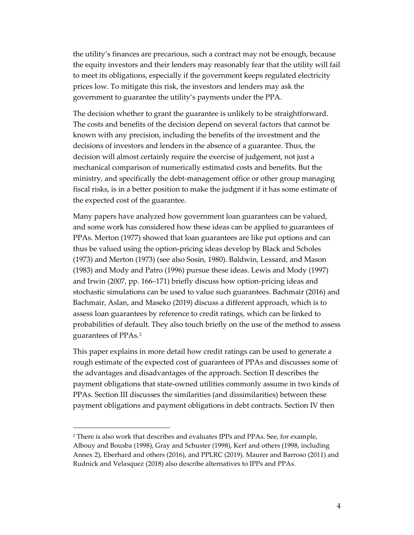the utility's finances are precarious, such a contract may not be enough, because the equity investors and their lenders may reasonably fear that the utility will fail to meet its obligations, especially if the government keeps regulated electricity prices low. To mitigate this risk, the investors and lenders may ask the government to guarantee the utility's payments under the PPA.

The decision whether to grant the guarantee is unlikely to be straightforward. The costs and benefits of the decision depend on several factors that cannot be known with any precision, including the benefits of the investment and the decisions of investors and lenders in the absence of a guarantee. Thus, the decision will almost certainly require the exercise of judgement, not just a mechanical comparison of numerically estimated costs and benefits. But the ministry, and specifically the debt-management office or other group managing fiscal risks, is in a better position to make the judgment if it has some estimate of the expected cost of the guarantee.

Many papers have analyzed how government loan guarantees can be valued, and some work has considered how these ideas can be applied to guarantees of PPAs. Merton (1977) showed that loan guarantees are like put options and can thus be valued using the option-pricing ideas develop by Black and Scholes (1973) and Merton (1973) (see also Sosin, 1980). Baldwin, Lessard, and Mason (1983) and Mody and Patro (1996) pursue these ideas. Lewis and Mody (1997) and Irwin (2007, pp. 166–171) briefly discuss how option-pricing ideas and stochastic simulations can be used to value such guarantees. Bachmair (2016) and Bachmair, Aslan, and Maseko (2019) discuss a different approach, which is to assess loan guarantees by reference to credit ratings, which can be linked to probabilities of default. They also touch briefly on the use of the method to assess guarantees of PPAs.[2](#page-5-0)

This paper explains in more detail how credit ratings can be used to generate a rough estimate of the expected cost of guarantees of PPAs and discusses some of the advantages and disadvantages of the approach. Section II describes the payment obligations that state-owned utilities commonly assume in two kinds of PPAs. Section III discusses the similarities (and dissimilarities) between these payment obligations and payment obligations in debt contracts. Section IV then

<span id="page-5-0"></span><sup>2</sup> There is also work that describes and evaluates IPPs and PPAs. See, for example, Albouy and Bousba (1998), Gray and Schuster (1998), Kerf and others (1998, including Annex 2), Eberhard and others (2016), and PPLRC (2019). Maurer and Barroso (2011) and Rudnick and Velasquez (2018) also describe alternatives to IPPs and PPAs.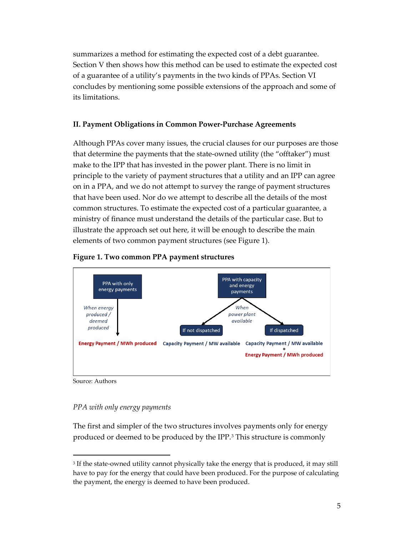summarizes a method for estimating the expected cost of a debt guarantee. Section V then shows how this method can be used to estimate the expected cost of a guarantee of a utility's payments in the two kinds of PPAs. Section VI concludes by mentioning some possible extensions of the approach and some of its limitations.

### <span id="page-6-0"></span>**II. Payment Obligations in Common Power-Purchase Agreements**

Although PPAs cover many issues, the crucial clauses for our purposes are those that determine the payments that the state-owned utility (the "offtaker") must make to the IPP that has invested in the power plant. There is no limit in principle to the variety of payment structures that a utility and an IPP can agree on in a PPA, and we do not attempt to survey the range of payment structures that have been used. Nor do we attempt to describe all the details of the most common structures. To estimate the expected cost of a particular guarantee, a ministry of finance must understand the details of the particular case. But to illustrate the approach set out here, it will be enough to describe the main elements of two common payment structures (see Figure 1).





Source: Authors

### <span id="page-6-1"></span>*PPA with only energy payments*

The first and simpler of the two structures involves payments only for energy produced or deemed to be produced by the IPP.[3](#page-6-2) This structure is commonly

<span id="page-6-2"></span><sup>&</sup>lt;sup>3</sup> If the state-owned utility cannot physically take the energy that is produced, it may still have to pay for the energy that could have been produced. For the purpose of calculating the payment, the energy is deemed to have been produced.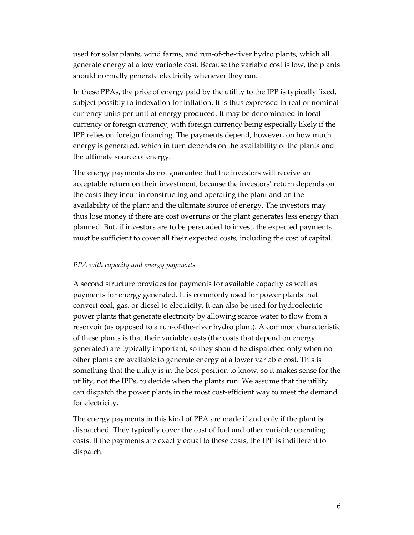used for solar plants, wind farms, and run-of-the-river hydro plants, which all generate energy at a low variable cost. Because the variable cost is low, the plants should normally generate electricity whenever they can.

In these PPAs, the price of energy paid by the utility to the IPP is typically fixed, subject possibly to indexation for inflation. It is thus expressed in real or nominal currency units per unit of energy produced. It may be denominated in local currency or foreign currency, with foreign currency being especially likely if the IPP relies on foreign financing. The payments depend, however, on how much energy is generated, which in turn depends on the availability of the plants and the ultimate source of energy.

The energy payments do not guarantee that the investors will receive an acceptable return on their investment, because the investors' return depends on the costs they incur in constructing and operating the plant and on the availability of the plant and the ultimate source of energy. The investors may thus lose money if there are cost overruns or the plant generates less energy than planned. But, if investors are to be persuaded to invest, the expected payments must be sufficient to cover all their expected costs, including the cost of capital.

#### <span id="page-7-0"></span>*PPA with capacity and energy payments*

A second structure provides for payments for available capacity as well as payments for energy generated. It is commonly used for power plants that convert coal, gas, or diesel to electricity. It can also be used for hydroelectric power plants that generate electricity by allowing scarce water to flow from a reservoir (as opposed to a run-of-the-river hydro plant). A common characteristic of these plants is that their variable costs (the costs that depend on energy generated) are typically important, so they should be dispatched only when no other plants are available to generate energy at a lower variable cost. This is something that the utility is in the best position to know, so it makes sense for the utility, not the IPPs, to decide when the plants run. We assume that the utility can dispatch the power plants in the most cost-efficient way to meet the demand for electricity.

The energy payments in this kind of PPA are made if and only if the plant is dispatched. They typically cover the cost of fuel and other variable operating costs. If the payments are exactly equal to these costs, the IPP is indifferent to dispatch.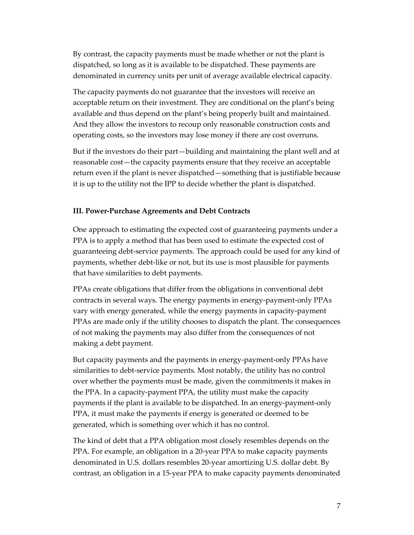By contrast, the capacity payments must be made whether or not the plant is dispatched, so long as it is available to be dispatched. These payments are denominated in currency units per unit of average available electrical capacity.

The capacity payments do not guarantee that the investors will receive an acceptable return on their investment. They are conditional on the plant's being available and thus depend on the plant's being properly built and maintained. And they allow the investors to recoup only reasonable construction costs and operating costs, so the investors may lose money if there are cost overruns.

But if the investors do their part—building and maintaining the plant well and at reasonable cost—the capacity payments ensure that they receive an acceptable return even if the plant is never dispatched—something that is justifiable because it is up to the utility not the IPP to decide whether the plant is dispatched.

#### <span id="page-8-0"></span>**III. Power-Purchase Agreements and Debt Contracts**

One approach to estimating the expected cost of guaranteeing payments under a PPA is to apply a method that has been used to estimate the expected cost of guaranteeing debt-service payments. The approach could be used for any kind of payments, whether debt-like or not, but its use is most plausible for payments that have similarities to debt payments.

PPAs create obligations that differ from the obligations in conventional debt contracts in several ways. The energy payments in energy-payment-only PPAs vary with energy generated, while the energy payments in capacity-payment PPAs are made only if the utility chooses to dispatch the plant. The consequences of not making the payments may also differ from the consequences of not making a debt payment.

But capacity payments and the payments in energy-payment-only PPAs have similarities to debt-service payments. Most notably, the utility has no control over whether the payments must be made, given the commitments it makes in the PPA. In a capacity-payment PPA, the utility must make the capacity payments if the plant is available to be dispatched. In an energy-payment-only PPA, it must make the payments if energy is generated or deemed to be generated, which is something over which it has no control.

The kind of debt that a PPA obligation most closely resembles depends on the PPA. For example, an obligation in a 20-year PPA to make capacity payments denominated in U.S. dollars resembles 20-year amortizing U.S. dollar debt. By contrast, an obligation in a 15-year PPA to make capacity payments denominated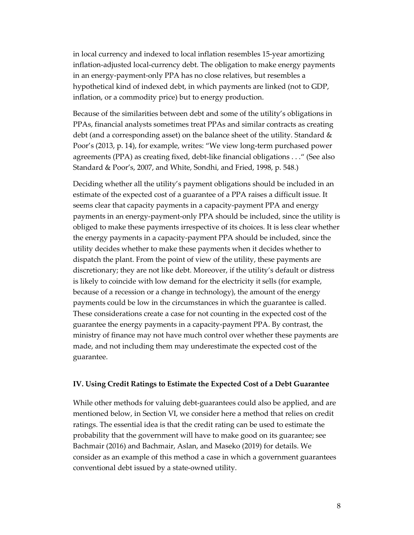in local currency and indexed to local inflation resembles 15-year amortizing inflation-adjusted local-currency debt. The obligation to make energy payments in an energy-payment-only PPA has no close relatives, but resembles a hypothetical kind of indexed debt, in which payments are linked (not to GDP, inflation, or a commodity price) but to energy production.

Because of the similarities between debt and some of the utility's obligations in PPAs, financial analysts sometimes treat PPAs and similar contracts as creating debt (and a corresponding asset) on the balance sheet of the utility. Standard & Poor's (2013, p. 14), for example, writes: "We view long-term purchased power agreements (PPA) as creating fixed, debt-like financial obligations . . ." (See also Standard & Poor's, 2007, and White, Sondhi, and Fried, 1998, p. 548.)

Deciding whether all the utility's payment obligations should be included in an estimate of the expected cost of a guarantee of a PPA raises a difficult issue. It seems clear that capacity payments in a capacity-payment PPA and energy payments in an energy-payment-only PPA should be included, since the utility is obliged to make these payments irrespective of its choices. It is less clear whether the energy payments in a capacity-payment PPA should be included, since the utility decides whether to make these payments when it decides whether to dispatch the plant. From the point of view of the utility, these payments are discretionary; they are not like debt. Moreover, if the utility's default or distress is likely to coincide with low demand for the electricity it sells (for example, because of a recession or a change in technology), the amount of the energy payments could be low in the circumstances in which the guarantee is called. These considerations create a case for not counting in the expected cost of the guarantee the energy payments in a capacity-payment PPA. By contrast, the ministry of finance may not have much control over whether these payments are made, and not including them may underestimate the expected cost of the guarantee.

#### <span id="page-9-0"></span>**IV. Using Credit Ratings to Estimate the Expected Cost of a Debt Guarantee**

While other methods for valuing debt-guarantees could also be applied, and are mentioned below, in Section VI, we consider here a method that relies on credit ratings. The essential idea is that the credit rating can be used to estimate the probability that the government will have to make good on its guarantee; see Bachmair (2016) and Bachmair, Aslan, and Maseko (2019) for details. We consider as an example of this method a case in which a government guarantees conventional debt issued by a state-owned utility.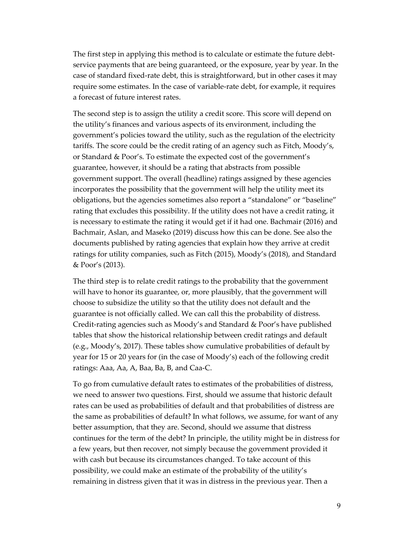The first step in applying this method is to calculate or estimate the future debtservice payments that are being guaranteed, or the exposure, year by year. In the case of standard fixed-rate debt, this is straightforward, but in other cases it may require some estimates. In the case of variable-rate debt, for example, it requires a forecast of future interest rates.

The second step is to assign the utility a credit score. This score will depend on the utility's finances and various aspects of its environment, including the government's policies toward the utility, such as the regulation of the electricity tariffs. The score could be the credit rating of an agency such as Fitch, Moody's, or Standard & Poor's. To estimate the expected cost of the government's guarantee, however, it should be a rating that abstracts from possible government support. The overall (headline) ratings assigned by these agencies incorporates the possibility that the government will help the utility meet its obligations, but the agencies sometimes also report a "standalone" or "baseline" rating that excludes this possibility. If the utility does not have a credit rating, it is necessary to estimate the rating it would get if it had one. Bachmair (2016) and Bachmair, Aslan, and Maseko (2019) discuss how this can be done. See also the documents published by rating agencies that explain how they arrive at credit ratings for utility companies, such as Fitch (2015), Moody's (2018), and Standard & Poor's (2013).

The third step is to relate credit ratings to the probability that the government will have to honor its guarantee, or, more plausibly, that the government will choose to subsidize the utility so that the utility does not default and the guarantee is not officially called. We can call this the probability of distress. Credit-rating agencies such as Moody's and Standard & Poor's have published tables that show the historical relationship between credit ratings and default (e.g., Moody's, 2017). These tables show cumulative probabilities of default by year for 15 or 20 years for (in the case of Moody's) each of the following credit ratings: Aaa, Aa, A, Baa, Ba, B, and Caa-C.

To go from cumulative default rates to estimates of the probabilities of distress, we need to answer two questions. First, should we assume that historic default rates can be used as probabilities of default and that probabilities of distress are the same as probabilities of default? In what follows, we assume, for want of any better assumption, that they are. Second, should we assume that distress continues for the term of the debt? In principle, the utility might be in distress for a few years, but then recover, not simply because the government provided it with cash but because its circumstances changed. To take account of this possibility, we could make an estimate of the probability of the utility's remaining in distress given that it was in distress in the previous year. Then a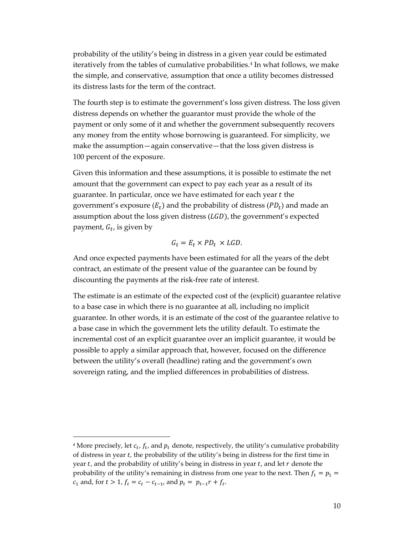probability of the utility's being in distress in a given year could be estimated iteratively from the tables of cumulative probabilities.<sup>[4](#page-11-0)</sup> In what follows, we make the simple, and conservative, assumption that once a utility becomes distressed its distress lasts for the term of the contract.

The fourth step is to estimate the government's loss given distress. The loss given distress depends on whether the guarantor must provide the whole of the payment or only some of it and whether the government subsequently recovers any money from the entity whose borrowing is guaranteed. For simplicity, we make the assumption—again conservative—that the loss given distress is 100 percent of the exposure.

Given this information and these assumptions, it is possible to estimate the net amount that the government can expect to pay each year as a result of its guarantee. In particular, once we have estimated for each year  $t$  the government's exposure  $(E_t)$  and the probability of distress  $(PD_t)$  and made an assumption about the loss given distress  $(LGD)$ , the government's expected payment,  $G_t$ , is given by

$$
G_t = E_t \times PD_t \times LGD.
$$

And once expected payments have been estimated for all the years of the debt contract, an estimate of the present value of the guarantee can be found by discounting the payments at the risk-free rate of interest.

The estimate is an estimate of the expected cost of the (explicit) guarantee relative to a base case in which there is no guarantee at all, including no implicit guarantee. In other words, it is an estimate of the cost of the guarantee relative to a base case in which the government lets the utility default. To estimate the incremental cost of an explicit guarantee over an implicit guarantee, it would be possible to apply a similar approach that, however, focused on the difference between the utility's overall (headline) rating and the government's own sovereign rating, and the implied differences in probabilities of distress.

<span id="page-11-0"></span><sup>&</sup>lt;sup>4</sup> More precisely, let  $c_t$ ,  $f_t$ , and  $p_t$  denote, respectively, the utility's cumulative probability of distress in year  $t$ , the probability of the utility's being in distress for the first time in year  $t$ , and the probability of utility's being in distress in year  $t$ , and let  $r$  denote the probability of the utility's remaining in distress from one year to the next. Then  $f_1 = p_1 =$  $c_1$  and, for  $t > 1$ ,  $f_t = c_t - c_{t-1}$ , and  $p_t = p_{t-1}r + f_t$ .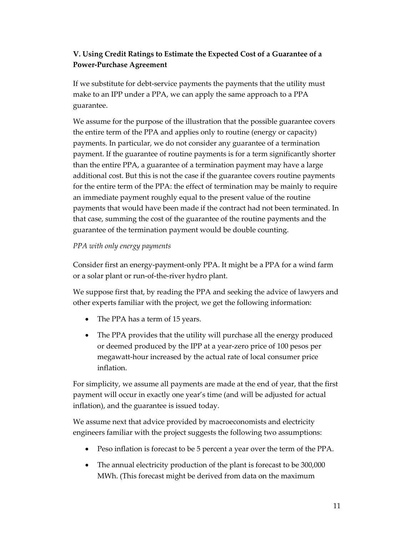# <span id="page-12-0"></span>**V. Using Credit Ratings to Estimate the Expected Cost of a Guarantee of a Power-Purchase Agreement**

If we substitute for debt-service payments the payments that the utility must make to an IPP under a PPA, we can apply the same approach to a PPA guarantee.

We assume for the purpose of the illustration that the possible guarantee covers the entire term of the PPA and applies only to routine (energy or capacity) payments. In particular, we do not consider any guarantee of a termination payment. If the guarantee of routine payments is for a term significantly shorter than the entire PPA, a guarantee of a termination payment may have a large additional cost. But this is not the case if the guarantee covers routine payments for the entire term of the PPA: the effect of termination may be mainly to require an immediate payment roughly equal to the present value of the routine payments that would have been made if the contract had not been terminated. In that case, summing the cost of the guarantee of the routine payments and the guarantee of the termination payment would be double counting.

# <span id="page-12-1"></span>*PPA with only energy payments*

Consider first an energy-payment-only PPA. It might be a PPA for a wind farm or a solar plant or run-of-the-river hydro plant.

We suppose first that, by reading the PPA and seeking the advice of lawyers and other experts familiar with the project, we get the following information:

- The PPA has a term of 15 years.
- The PPA provides that the utility will purchase all the energy produced or deemed produced by the IPP at a year-zero price of 100 pesos per megawatt-hour increased by the actual rate of local consumer price inflation.

For simplicity, we assume all payments are made at the end of year, that the first payment will occur in exactly one year's time (and will be adjusted for actual inflation), and the guarantee is issued today.

We assume next that advice provided by macroeconomists and electricity engineers familiar with the project suggests the following two assumptions:

- Peso inflation is forecast to be 5 percent a year over the term of the PPA.
- The annual electricity production of the plant is forecast to be 300,000 MWh. (This forecast might be derived from data on the maximum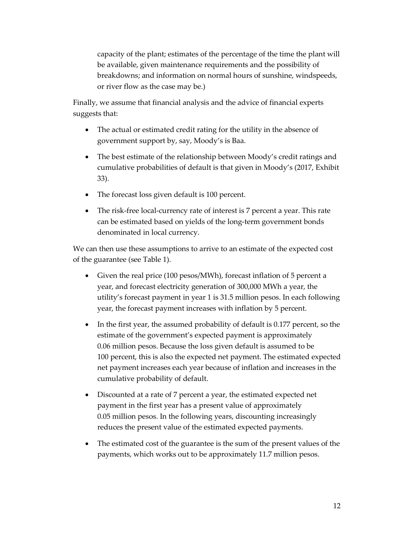capacity of the plant; estimates of the percentage of the time the plant will be available, given maintenance requirements and the possibility of breakdowns; and information on normal hours of sunshine, windspeeds, or river flow as the case may be.)

Finally, we assume that financial analysis and the advice of financial experts suggests that:

- The actual or estimated credit rating for the utility in the absence of government support by, say, Moody's is Baa.
- The best estimate of the relationship between Moody's credit ratings and cumulative probabilities of default is that given in Moody's (2017, Exhibit 33).
- The forecast loss given default is 100 percent.
- The risk-free local-currency rate of interest is 7 percent a year. This rate can be estimated based on yields of the long-term government bonds denominated in local currency.

We can then use these assumptions to arrive to an estimate of the expected cost of the guarantee (see Table 1).

- Given the real price (100 pesos/MWh), forecast inflation of 5 percent a year, and forecast electricity generation of 300,000 MWh a year, the utility's forecast payment in year 1 is 31.5 million pesos. In each following year, the forecast payment increases with inflation by 5 percent.
- In the first year, the assumed probability of default is 0.177 percent, so the estimate of the government's expected payment is approximately 0.06 million pesos. Because the loss given default is assumed to be 100 percent, this is also the expected net payment. The estimated expected net payment increases each year because of inflation and increases in the cumulative probability of default.
- Discounted at a rate of 7 percent a year, the estimated expected net payment in the first year has a present value of approximately 0.05 million pesos. In the following years, discounting increasingly reduces the present value of the estimated expected payments.
- The estimated cost of the guarantee is the sum of the present values of the payments, which works out to be approximately 11.7 million pesos.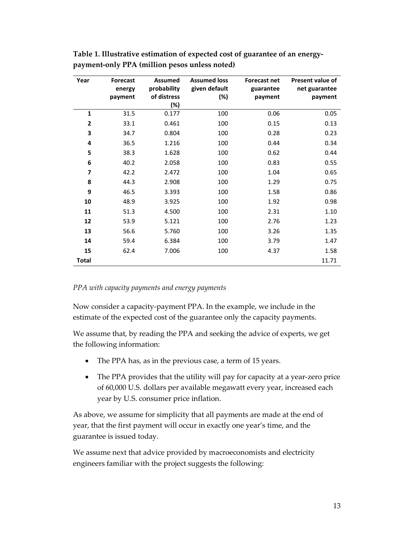| Year           | <b>Forecast</b> | <b>Assumed</b> | <b>Assumed loss</b> | <b>Forecast net</b> | Present value of |
|----------------|-----------------|----------------|---------------------|---------------------|------------------|
|                | energy          | probability    | given default       | guarantee           | net guarantee    |
|                | payment         | of distress    | (%)                 | payment             | payment          |
|                |                 | (%)            |                     |                     |                  |
| $\mathbf{1}$   | 31.5            | 0.177          | 100                 | 0.06                | 0.05             |
| $\overline{2}$ | 33.1            | 0.461          | 100                 | 0.15                | 0.13             |
| 3              | 34.7            | 0.804          | 100                 | 0.28                | 0.23             |
| 4              | 36.5            | 1.216          | 100                 | 0.44                | 0.34             |
| 5              | 38.3            | 1.628          | 100                 | 0.62                | 0.44             |
| 6              | 40.2            | 2.058          | 100                 | 0.83                | 0.55             |
| 7              | 42.2            | 2.472          | 100                 | 1.04                | 0.65             |
| 8              | 44.3            | 2.908          | 100                 | 1.29                | 0.75             |
| 9              | 46.5            | 3.393          | 100                 | 1.58                | 0.86             |
| 10             | 48.9            | 3.925          | 100                 | 1.92                | 0.98             |
| 11             | 51.3            | 4.500          | 100                 | 2.31                | 1.10             |
| 12             | 53.9            | 5.121          | 100                 | 2.76                | 1.23             |
| 13             | 56.6            | 5.760          | 100                 | 3.26                | 1.35             |
| 14             | 59.4            | 6.384          | 100                 | 3.79                | 1.47             |
| 15             | 62.4            | 7.006          | 100                 | 4.37                | 1.58             |
| Total          |                 |                |                     |                     | 11.71            |

**Table 1. Illustrative estimation of expected cost of guarantee of an energypayment-only PPA (million pesos unless noted)**

#### <span id="page-14-0"></span>*PPA with capacity payments and energy payments*

Now consider a capacity-payment PPA. In the example, we include in the estimate of the expected cost of the guarantee only the capacity payments.

We assume that, by reading the PPA and seeking the advice of experts, we get the following information:

- The PPA has, as in the previous case, a term of 15 years.
- The PPA provides that the utility will pay for capacity at a year-zero price of 60,000 U.S. dollars per available megawatt every year, increased each year by U.S. consumer price inflation.

As above, we assume for simplicity that all payments are made at the end of year, that the first payment will occur in exactly one year's time, and the guarantee is issued today.

We assume next that advice provided by macroeconomists and electricity engineers familiar with the project suggests the following: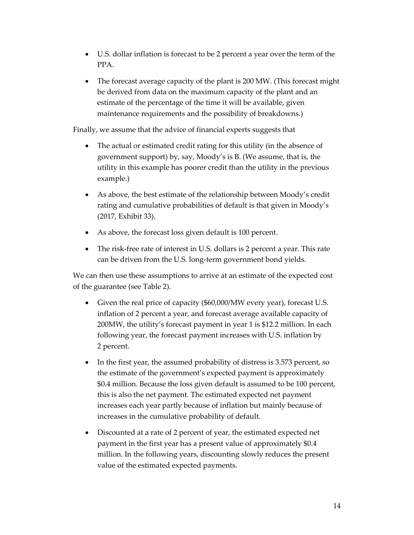- U.S. dollar inflation is forecast to be 2 percent a year over the term of the PPA.
- The forecast average capacity of the plant is 200 MW. (This forecast might be derived from data on the maximum capacity of the plant and an estimate of the percentage of the time it will be available, given maintenance requirements and the possibility of breakdowns.)

Finally, we assume that the advice of financial experts suggests that

- The actual or estimated credit rating for this utility (in the absence of government support) by, say, Moody's is B. (We assume, that is, the utility in this example has poorer credit than the utility in the previous example.)
- As above, the best estimate of the relationship between Moody's credit rating and cumulative probabilities of default is that given in Moody's (2017, Exhibit 33).
- As above, the forecast loss given default is 100 percent.
- The risk-free rate of interest in U.S. dollars is 2 percent a year. This rate can be driven from the U.S. long-term government bond yields.

We can then use these assumptions to arrive at an estimate of the expected cost of the guarantee (see Table 2).

- Given the real price of capacity (\$60,000/MW every year), forecast U.S. inflation of 2 percent a year, and forecast average available capacity of 200MW, the utility's forecast payment in year 1 is \$12.2 million. In each following year, the forecast payment increases with U.S. inflation by 2 percent.
- In the first year, the assumed probability of distress is 3.573 percent, so the estimate of the government's expected payment is approximately \$0.4 million. Because the loss given default is assumed to be 100 percent, this is also the net payment. The estimated expected net payment increases each year partly because of inflation but mainly because of increases in the cumulative probability of default.
- Discounted at a rate of 2 percent of year, the estimated expected net payment in the first year has a present value of approximately \$0.4 million. In the following years, discounting slowly reduces the present value of the estimated expected payments.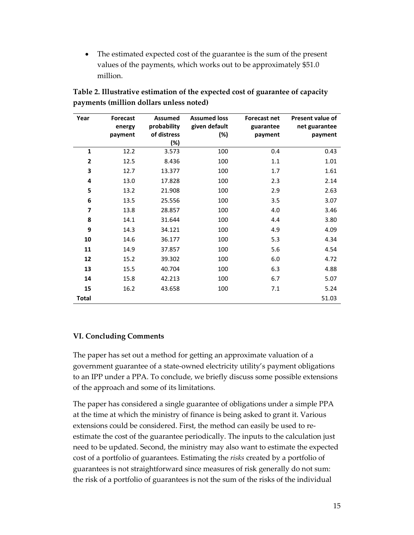• The estimated expected cost of the guarantee is the sum of the present values of the payments, which works out to be approximately \$51.0 million.

| Year                    | <b>Forecast</b> | <b>Assumed</b> | <b>Assumed loss</b> | <b>Forecast net</b> | <b>Present value of</b> |
|-------------------------|-----------------|----------------|---------------------|---------------------|-------------------------|
|                         | energy          | probability    | given default       | guarantee           | net guarantee           |
|                         | payment         | of distress    | (%)                 | payment             | payment                 |
|                         |                 | (%)            |                     |                     |                         |
| 1                       | 12.2            | 3.573          | 100                 | 0.4                 | 0.43                    |
| 2                       | 12.5            | 8.436          | 100                 | 1.1                 | 1.01                    |
| 3                       | 12.7            | 13.377         | 100                 | 1.7                 | 1.61                    |
| 4                       | 13.0            | 17.828         | 100                 | 2.3                 | 2.14                    |
| 5                       | 13.2            | 21.908         | 100                 | 2.9                 | 2.63                    |
| 6                       | 13.5            | 25.556         | 100                 | 3.5                 | 3.07                    |
| $\overline{\mathbf{z}}$ | 13.8            | 28.857         | 100                 | 4.0                 | 3.46                    |
| 8                       | 14.1            | 31.644         | 100                 | 4.4                 | 3.80                    |
| 9                       | 14.3            | 34.121         | 100                 | 4.9                 | 4.09                    |
| 10                      | 14.6            | 36.177         | 100                 | 5.3                 | 4.34                    |
| 11                      | 14.9            | 37.857         | 100                 | 5.6                 | 4.54                    |
| 12                      | 15.2            | 39.302         | 100                 | 6.0                 | 4.72                    |
| 13                      | 15.5            | 40.704         | 100                 | 6.3                 | 4.88                    |
| 14                      | 15.8            | 42.213         | 100                 | 6.7                 | 5.07                    |
| 15                      | 16.2            | 43.658         | 100                 | 7.1                 | 5.24                    |
| <b>Total</b>            |                 |                |                     |                     | 51.03                   |

**Table 2. Illustrative estimation of the expected cost of guarantee of capacity payments (million dollars unless noted)**

# <span id="page-16-0"></span>**VI. Concluding Comments**

The paper has set out a method for getting an approximate valuation of a government guarantee of a state-owned electricity utility's payment obligations to an IPP under a PPA. To conclude, we briefly discuss some possible extensions of the approach and some of its limitations.

The paper has considered a single guarantee of obligations under a simple PPA at the time at which the ministry of finance is being asked to grant it. Various extensions could be considered. First, the method can easily be used to reestimate the cost of the guarantee periodically. The inputs to the calculation just need to be updated. Second, the ministry may also want to estimate the expected cost of a portfolio of guarantees. Estimating the *risks* created by a portfolio of guarantees is not straightforward since measures of risk generally do not sum: the risk of a portfolio of guarantees is not the sum of the risks of the individual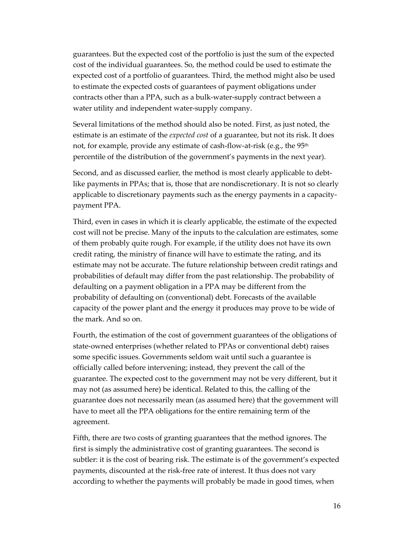guarantees. But the expected cost of the portfolio is just the sum of the expected cost of the individual guarantees. So, the method could be used to estimate the expected cost of a portfolio of guarantees. Third, the method might also be used to estimate the expected costs of guarantees of payment obligations under contracts other than a PPA, such as a bulk-water-supply contract between a water utility and independent water-supply company.

Several limitations of the method should also be noted. First, as just noted, the estimate is an estimate of the *expected cost* of a guarantee, but not its risk. It does not, for example, provide any estimate of cash-flow-at-risk (e.g., the 95<sup>th</sup>) percentile of the distribution of the government's payments in the next year).

Second, and as discussed earlier, the method is most clearly applicable to debtlike payments in PPAs; that is, those that are nondiscretionary. It is not so clearly applicable to discretionary payments such as the energy payments in a capacitypayment PPA.

Third, even in cases in which it is clearly applicable, the estimate of the expected cost will not be precise. Many of the inputs to the calculation are estimates, some of them probably quite rough. For example, if the utility does not have its own credit rating, the ministry of finance will have to estimate the rating, and its estimate may not be accurate. The future relationship between credit ratings and probabilities of default may differ from the past relationship. The probability of defaulting on a payment obligation in a PPA may be different from the probability of defaulting on (conventional) debt. Forecasts of the available capacity of the power plant and the energy it produces may prove to be wide of the mark. And so on.

Fourth, the estimation of the cost of government guarantees of the obligations of state-owned enterprises (whether related to PPAs or conventional debt) raises some specific issues. Governments seldom wait until such a guarantee is officially called before intervening; instead, they prevent the call of the guarantee. The expected cost to the government may not be very different, but it may not (as assumed here) be identical. Related to this, the calling of the guarantee does not necessarily mean (as assumed here) that the government will have to meet all the PPA obligations for the entire remaining term of the agreement.

Fifth, there are two costs of granting guarantees that the method ignores. The first is simply the administrative cost of granting guarantees. The second is subtler: it is the cost of bearing risk. The estimate is of the government's expected payments, discounted at the risk-free rate of interest. It thus does not vary according to whether the payments will probably be made in good times, when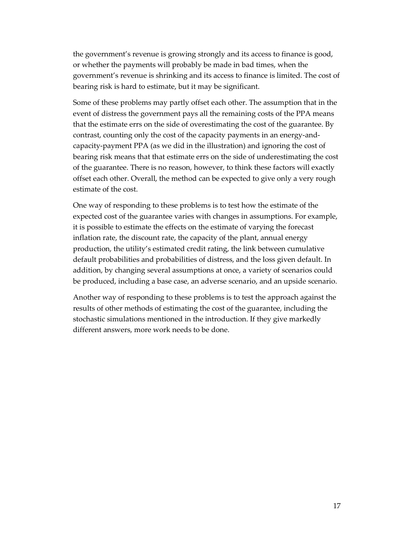the government's revenue is growing strongly and its access to finance is good, or whether the payments will probably be made in bad times, when the government's revenue is shrinking and its access to finance is limited. The cost of bearing risk is hard to estimate, but it may be significant.

Some of these problems may partly offset each other. The assumption that in the event of distress the government pays all the remaining costs of the PPA means that the estimate errs on the side of overestimating the cost of the guarantee. By contrast, counting only the cost of the capacity payments in an energy-andcapacity-payment PPA (as we did in the illustration) and ignoring the cost of bearing risk means that that estimate errs on the side of underestimating the cost of the guarantee. There is no reason, however, to think these factors will exactly offset each other. Overall, the method can be expected to give only a very rough estimate of the cost.

One way of responding to these problems is to test how the estimate of the expected cost of the guarantee varies with changes in assumptions. For example, it is possible to estimate the effects on the estimate of varying the forecast inflation rate, the discount rate, the capacity of the plant, annual energy production, the utility's estimated credit rating, the link between cumulative default probabilities and probabilities of distress, and the loss given default. In addition, by changing several assumptions at once, a variety of scenarios could be produced, including a base case, an adverse scenario, and an upside scenario.

Another way of responding to these problems is to test the approach against the results of other methods of estimating the cost of the guarantee, including the stochastic simulations mentioned in the introduction. If they give markedly different answers, more work needs to be done.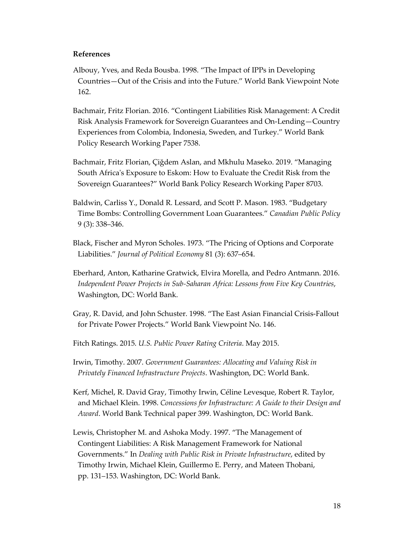#### **References**

- Albouy, Yves, and Reda Bousba. 1998. "The Impact of IPPs in Developing Countries—Out of the Crisis and into the Future." World Bank Viewpoint Note 162.
- Bachmair, Fritz Florian. 2016. "Contingent Liabilities Risk Management: A Credit Risk Analysis Framework for Sovereign Guarantees and On-Lending—Country Experiences from Colombia, Indonesia, Sweden, and Turkey." World Bank Policy Research Working Paper 7538.
- Bachmair, Fritz Florian, Çiğdem Aslan, and Mkhulu Maseko. 2019. "Managing South Africa's Exposure to Eskom: How to Evaluate the Credit Risk from the Sovereign Guarantees?" World Bank Policy Research Working Paper 8703.
- Baldwin, Carliss Y., Donald R. Lessard, and Scott P. Mason. 1983. "Budgetary Time Bombs: Controlling Government Loan Guarantees." *Canadian Public Policy*  9 (3): 338–346.
- Black, Fischer and Myron Scholes. 1973. "The Pricing of Options and Corporate Liabilities." *Journal of Political Economy* 81 (3): 637–654.
- Eberhard, Anton, Katharine Gratwick, Elvira Morella, and Pedro Antmann. 2016. *Independent Power Projects in Sub-Saharan Africa: Lessons from Five Key Countries*, Washington, DC: World Bank.
- Gray, R. David, and John Schuster. 1998. "The East Asian Financial Crisis-Fallout for Private Power Projects." World Bank Viewpoint No. 146.
- Fitch Ratings. 2015. *U.S. Public Power Rating Criteria*. May 2015.

Irwin, Timothy. 2007. *Government Guarantees: Allocating and Valuing Risk in Privately Financed Infrastructure Projects*. Washington, DC: World Bank.

- Kerf, Michel, R. David Gray, Timothy Irwin, Céline Levesque, Robert R. Taylor, and Michael Klein. 1998. *Concessions for Infrastructure: A Guide to their Design and Award*. World Bank Technical paper 399. Washington, DC: World Bank.
- Lewis, Christopher M. and Ashoka Mody. 1997. "The Management of Contingent Liabilities: A Risk Management Framework for National Governments." In *Dealing with Public Risk in Private Infrastructure*, edited by Timothy Irwin, Michael Klein, Guillermo E. Perry, and Mateen Thobani, pp. 131–153. Washington, DC: World Bank.